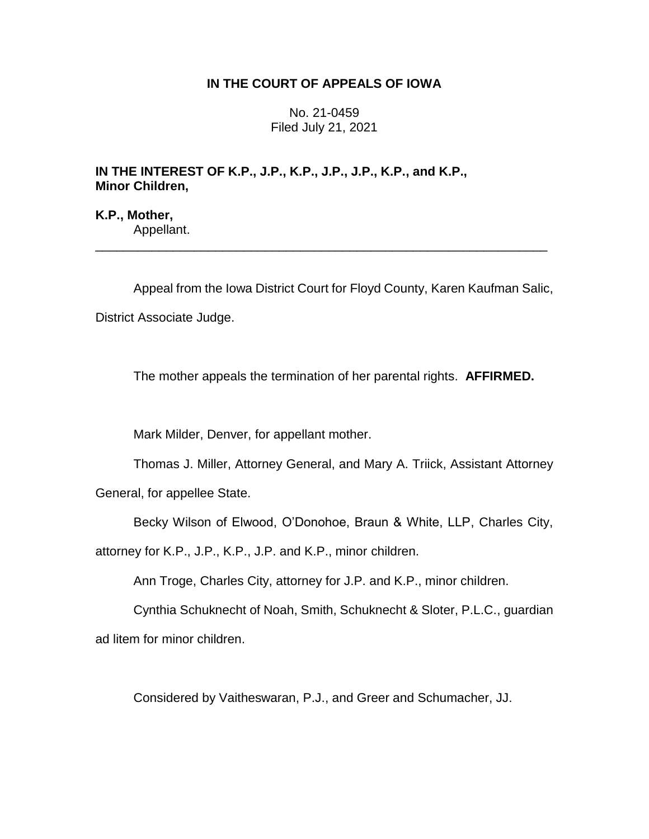# **IN THE COURT OF APPEALS OF IOWA**

No. 21-0459 Filed July 21, 2021

# **IN THE INTEREST OF K.P., J.P., K.P., J.P., J.P., K.P., and K.P., Minor Children,**

**K.P., Mother,** Appellant.

Appeal from the Iowa District Court for Floyd County, Karen Kaufman Salic, District Associate Judge.

\_\_\_\_\_\_\_\_\_\_\_\_\_\_\_\_\_\_\_\_\_\_\_\_\_\_\_\_\_\_\_\_\_\_\_\_\_\_\_\_\_\_\_\_\_\_\_\_\_\_\_\_\_\_\_\_\_\_\_\_\_\_\_\_

The mother appeals the termination of her parental rights. **AFFIRMED.**

Mark Milder, Denver, for appellant mother.

Thomas J. Miller, Attorney General, and Mary A. Triick, Assistant Attorney

General, for appellee State.

Becky Wilson of Elwood, O'Donohoe, Braun & White, LLP, Charles City,

attorney for K.P., J.P., K.P., J.P. and K.P., minor children.

Ann Troge, Charles City, attorney for J.P. and K.P., minor children.

Cynthia Schuknecht of Noah, Smith, Schuknecht & Sloter, P.L.C., guardian ad litem for minor children.

Considered by Vaitheswaran, P.J., and Greer and Schumacher, JJ.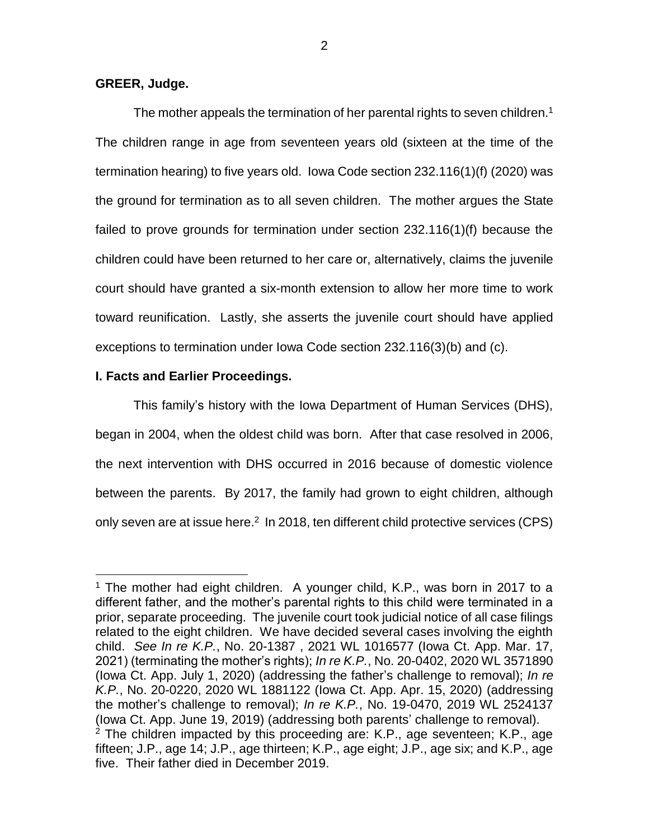## **GREER, Judge.**

The mother appeals the termination of her parental rights to seven children.<sup>1</sup> The children range in age from seventeen years old (sixteen at the time of the termination hearing) to five years old. Iowa Code section 232.116(1)(f) (2020) was the ground for termination as to all seven children. The mother argues the State failed to prove grounds for termination under section 232.116(1)(f) because the children could have been returned to her care or, alternatively, claims the juvenile court should have granted a six-month extension to allow her more time to work toward reunification. Lastly, she asserts the juvenile court should have applied exceptions to termination under Iowa Code section 232.116(3)(b) and (c).

## **I. Facts and Earlier Proceedings.**

 $\overline{a}$ 

This family's history with the Iowa Department of Human Services (DHS), began in 2004, when the oldest child was born. After that case resolved in 2006, the next intervention with DHS occurred in 2016 because of domestic violence between the parents. By 2017, the family had grown to eight children, although only seven are at issue here.<sup>2</sup> In 2018, ten different child protective services (CPS)

<sup>&</sup>lt;sup>1</sup> The mother had eight children. A younger child, K.P., was born in 2017 to a different father, and the mother's parental rights to this child were terminated in a prior, separate proceeding. The juvenile court took judicial notice of all case filings related to the eight children. We have decided several cases involving the eighth child. *See In re K.P.*, No. 20-1387 , 2021 WL 1016577 (Iowa Ct. App. Mar. 17, 2021) (terminating the mother's rights); *In re K.P.*[, No. 20-0402, 2020 WL 3571890](https://1.next.westlaw.com/Link/Document/FullText?findType=Y&serNum=2051366908&pubNum=0000999&originatingDoc=I9667bd30879511eba0bf9e471a95d041&refType=RP&originationContext=document&transitionType=DocumentItem&contextData=(sc.Keycite))  [\(Iowa Ct. App. July 1, 2020\)](https://1.next.westlaw.com/Link/Document/FullText?findType=Y&serNum=2051366908&pubNum=0000999&originatingDoc=I9667bd30879511eba0bf9e471a95d041&refType=RP&originationContext=document&transitionType=DocumentItem&contextData=(sc.Keycite)) (addressing the father's challenge to removal); *[In re](https://1.next.westlaw.com/Link/Document/FullText?findType=Y&serNum=2050782987&pubNum=0000999&originatingDoc=I9667bd30879511eba0bf9e471a95d041&refType=RP&originationContext=document&transitionType=DocumentItem&contextData=(sc.Keycite))  K.P.*[, No. 20-0220, 2020 WL 1881122 \(Iowa Ct. App. Apr. 15, 2020\)](https://1.next.westlaw.com/Link/Document/FullText?findType=Y&serNum=2050782987&pubNum=0000999&originatingDoc=I9667bd30879511eba0bf9e471a95d041&refType=RP&originationContext=document&transitionType=DocumentItem&contextData=(sc.Keycite)) (addressing the mother's challenge to removal); *In re K.P.*, No. 19-0470, 2019 WL 2524137 (Iowa Ct. App. June 19, 2019) (addressing both parents' challenge to removal).  $2$  The children impacted by this proceeding are: K.P., age seventeen; K.P., age fifteen; J.P., age 14; J.P., age thirteen; K.P., age eight; J.P., age six; and K.P., age five. Their father died in December 2019.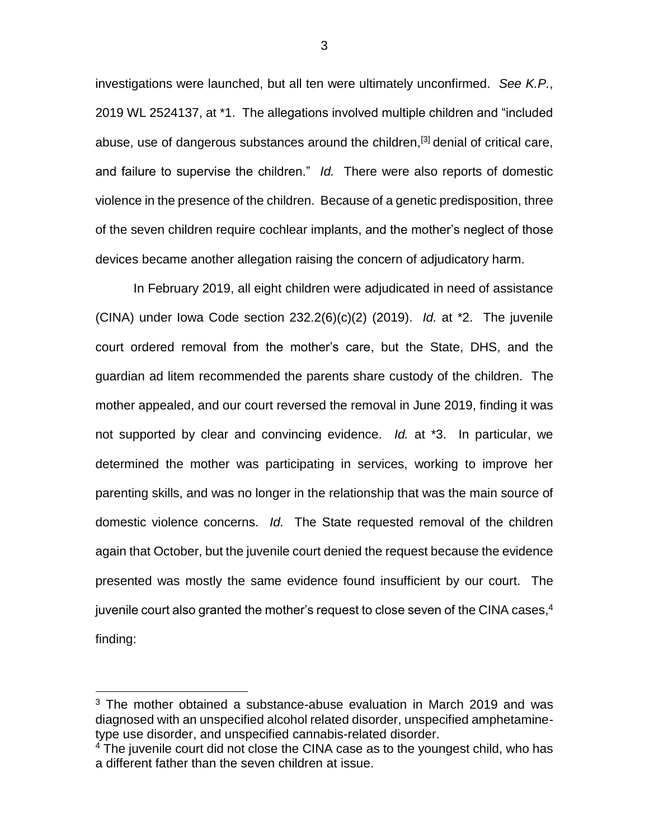investigations were launched, but all ten were ultimately unconfirmed. *See K.P.*, 2019 WL 2524137, at \*1. The allegations involved multiple children and "included abuse, use of dangerous substances around the children.<sup>[3]</sup> denial of critical care, and failure to supervise the children." *Id.* There were also reports of domestic violence in the presence of the children. Because of a genetic predisposition, three of the seven children require cochlear implants, and the mother's neglect of those devices became another allegation raising the concern of adjudicatory harm.

In February 2019, all eight children were adjudicated in need of assistance (CINA) under Iowa Code section 232.2(6)(c)(2) (2019). *Id.* at \*2. The juvenile court ordered removal from the mother's care, but the State, DHS, and the guardian ad litem recommended the parents share custody of the children. The mother appealed, and our court reversed the removal in June 2019, finding it was not supported by clear and convincing evidence. *Id.* at \*3. In particular, we determined the mother was participating in services, working to improve her parenting skills, and was no longer in the relationship that was the main source of domestic violence concerns. *Id.* The State requested removal of the children again that October, but the juvenile court denied the request because the evidence presented was mostly the same evidence found insufficient by our court. The juvenile court also granted the mother's request to close seven of the CINA cases, $^{\rm 4}$ finding:

 $\overline{a}$ 

<sup>&</sup>lt;sup>3</sup> The mother obtained a substance-abuse evaluation in March 2019 and was diagnosed with an unspecified alcohol related disorder, unspecified amphetaminetype use disorder, and unspecified cannabis-related disorder.

<sup>&</sup>lt;sup>4</sup> The juvenile court did not close the CINA case as to the youngest child, who has a different father than the seven children at issue.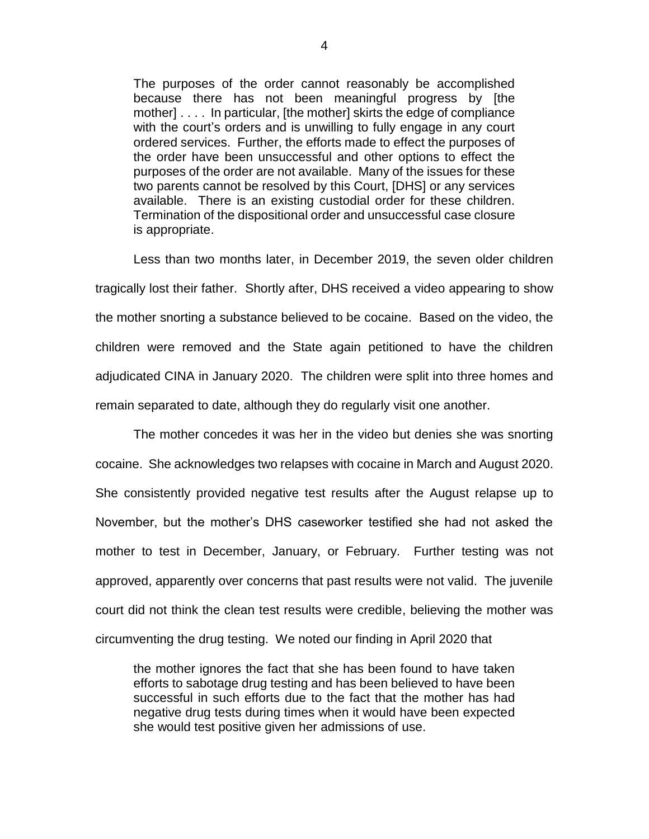The purposes of the order cannot reasonably be accomplished because there has not been meaningful progress by [the mother] . . . . In particular, [the mother] skirts the edge of compliance with the court's orders and is unwilling to fully engage in any court ordered services. Further, the efforts made to effect the purposes of the order have been unsuccessful and other options to effect the purposes of the order are not available. Many of the issues for these two parents cannot be resolved by this Court, [DHS] or any services available. There is an existing custodial order for these children. Termination of the dispositional order and unsuccessful case closure is appropriate.

Less than two months later, in December 2019, the seven older children tragically lost their father. Shortly after, DHS received a video appearing to show the mother snorting a substance believed to be cocaine. Based on the video, the children were removed and the State again petitioned to have the children adjudicated CINA in January 2020. The children were split into three homes and remain separated to date, although they do regularly visit one another.

The mother concedes it was her in the video but denies she was snorting cocaine. She acknowledges two relapses with cocaine in March and August 2020. She consistently provided negative test results after the August relapse up to November, but the mother's DHS caseworker testified she had not asked the mother to test in December, January, or February. Further testing was not approved, apparently over concerns that past results were not valid. The juvenile court did not think the clean test results were credible, believing the mother was circumventing the drug testing. We noted our finding in April 2020 that

the mother ignores the fact that she has been found to have taken efforts to sabotage drug testing and has been believed to have been successful in such efforts due to the fact that the mother has had negative drug tests during times when it would have been expected she would test positive given her admissions of use.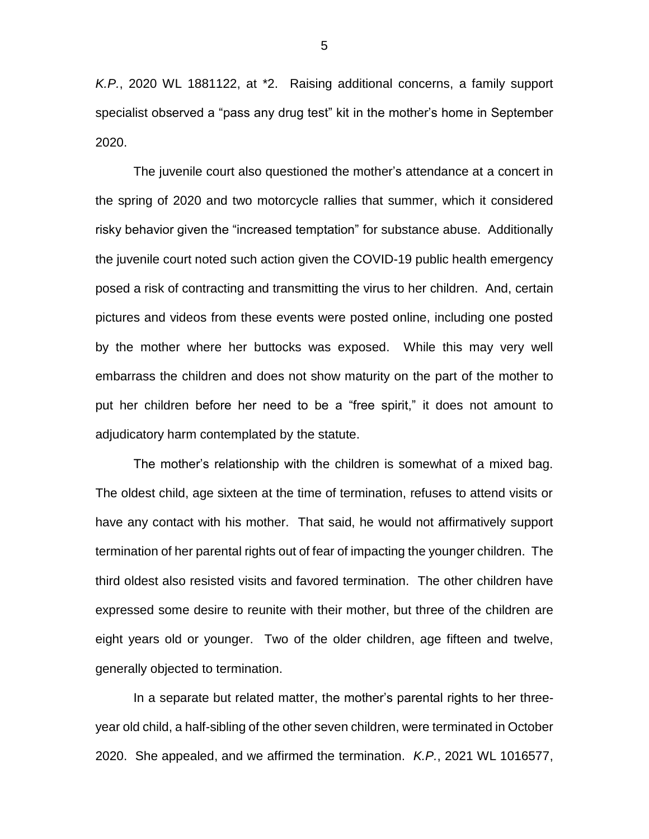*K.P.*, 2020 WL 1881122, at \*2. Raising additional concerns, a family support specialist observed a "pass any drug test" kit in the mother's home in September 2020.

The juvenile court also questioned the mother's attendance at a concert in the spring of 2020 and two motorcycle rallies that summer, which it considered risky behavior given the "increased temptation" for substance abuse. Additionally the juvenile court noted such action given the COVID-19 public health emergency posed a risk of contracting and transmitting the virus to her children. And, certain pictures and videos from these events were posted online, including one posted by the mother where her buttocks was exposed. While this may very well embarrass the children and does not show maturity on the part of the mother to put her children before her need to be a "free spirit," it does not amount to adjudicatory harm contemplated by the statute.

The mother's relationship with the children is somewhat of a mixed bag. The oldest child, age sixteen at the time of termination, refuses to attend visits or have any contact with his mother. That said, he would not affirmatively support termination of her parental rights out of fear of impacting the younger children. The third oldest also resisted visits and favored termination. The other children have expressed some desire to reunite with their mother, but three of the children are eight years old or younger. Two of the older children, age fifteen and twelve, generally objected to termination.

In a separate but related matter, the mother's parental rights to her threeyear old child, a half-sibling of the other seven children, were terminated in October 2020. She appealed, and we affirmed the termination. *K.P.*, 2021 WL 1016577,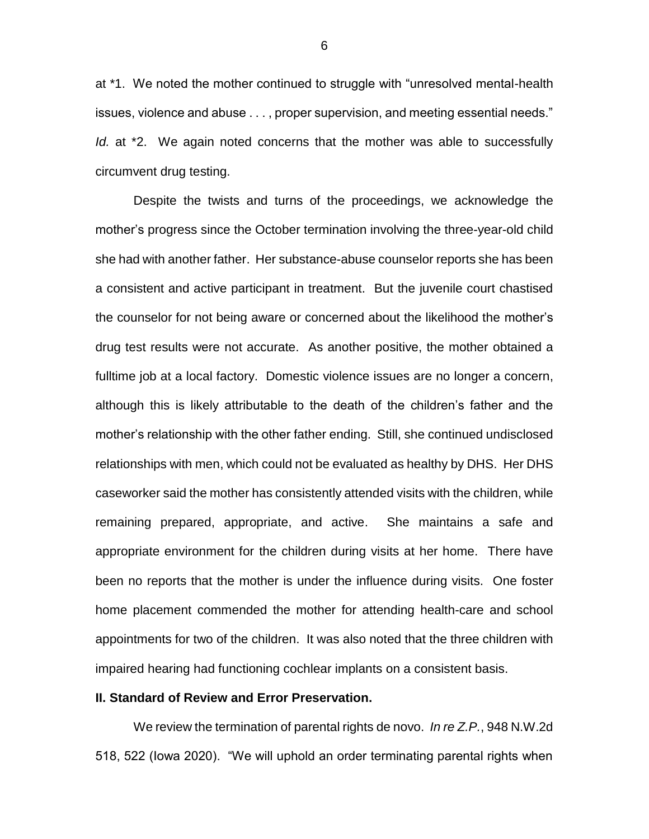at \*1. We noted the mother continued to struggle with "unresolved mental-health issues, violence and abuse . . . , proper supervision, and meeting essential needs." *Id.* at <sup>\*</sup>2. We again noted concerns that the mother was able to successfully circumvent drug testing.

Despite the twists and turns of the proceedings, we acknowledge the mother's progress since the October termination involving the three-year-old child she had with another father. Her substance-abuse counselor reports she has been a consistent and active participant in treatment. But the juvenile court chastised the counselor for not being aware or concerned about the likelihood the mother's drug test results were not accurate. As another positive, the mother obtained a fulltime job at a local factory. Domestic violence issues are no longer a concern, although this is likely attributable to the death of the children's father and the mother's relationship with the other father ending. Still, she continued undisclosed relationships with men, which could not be evaluated as healthy by DHS. Her DHS caseworker said the mother has consistently attended visits with the children, while remaining prepared, appropriate, and active. She maintains a safe and appropriate environment for the children during visits at her home. There have been no reports that the mother is under the influence during visits. One foster home placement commended the mother for attending health-care and school appointments for two of the children. It was also noted that the three children with impaired hearing had functioning cochlear implants on a consistent basis.

## **II. Standard of Review and Error Preservation.**

We review the termination of parental rights de novo. *In re Z.P.*, 948 N.W.2d 518, 522 (Iowa 2020). "We will uphold an order terminating parental rights when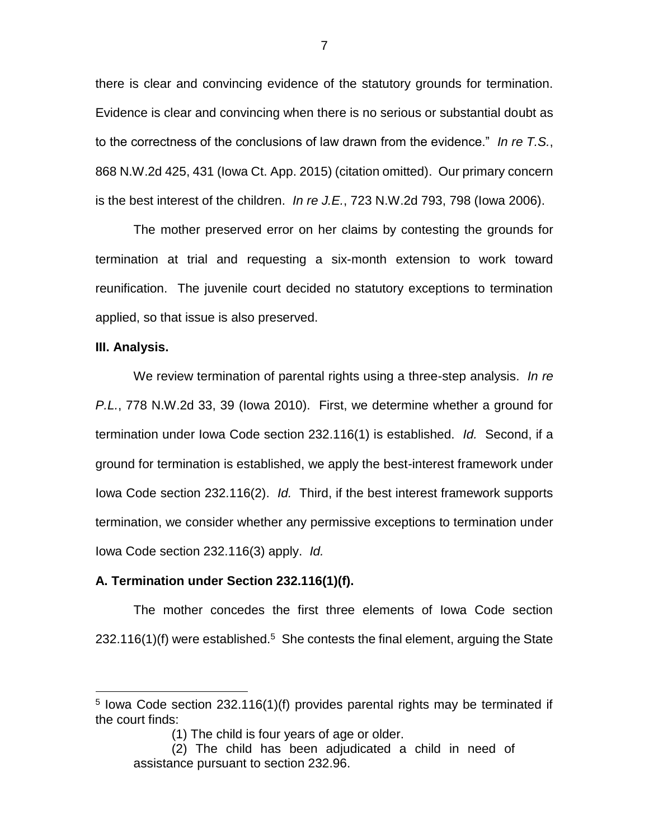there is clear and convincing evidence of the statutory grounds for termination. Evidence is clear and convincing when there is no serious or substantial doubt as to the correctness of the conclusions of law drawn from the evidence." *In re T.S.*, 868 N.W.2d 425, 431 (Iowa Ct. App. 2015) (citation omitted). Our primary concern is the best interest of the children. *In re J.E.*, 723 N.W.2d 793, 798 (Iowa 2006).

The mother preserved error on her claims by contesting the grounds for termination at trial and requesting a six-month extension to work toward reunification. The juvenile court decided no statutory exceptions to termination applied, so that issue is also preserved.

### **III. Analysis.**

 $\overline{a}$ 

We review termination of parental rights using a three-step analysis. *In re P.L.*, 778 N.W.2d 33, 39 (Iowa 2010). First, we determine whether a ground for termination under Iowa Code section 232.116(1) is established. *Id.* Second, if a ground for termination is established, we apply the best-interest framework under Iowa Code section 232.116(2). *Id.* Third, if the best interest framework supports termination, we consider whether any permissive exceptions to termination under Iowa Code section 232.116(3) apply. *Id.* 

## **A. Termination under Section 232.116(1)(f).**

The mother concedes the first three elements of Iowa Code section  $232.116(1)$ (f) were established.<sup>5</sup> She contests the final element, arguing the State

<sup>&</sup>lt;sup>5</sup> lowa Code section 232.116(1)(f) provides parental rights may be terminated if the court finds:

<sup>(1)</sup> The child is four years of age or older.

<sup>(2)</sup> The child has been adjudicated a child in need of assistance pursuant to section 232.96.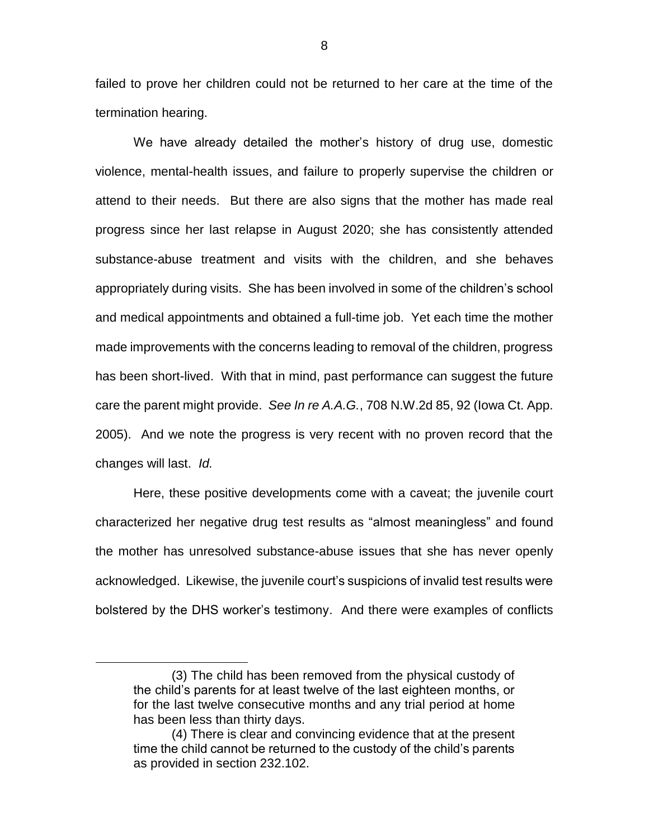failed to prove her children could not be returned to her care at the time of the termination hearing.

We have already detailed the mother's history of drug use, domestic violence, mental-health issues, and failure to properly supervise the children or attend to their needs. But there are also signs that the mother has made real progress since her last relapse in August 2020; she has consistently attended substance-abuse treatment and visits with the children, and she behaves appropriately during visits. She has been involved in some of the children's school and medical appointments and obtained a full-time job. Yet each time the mother made improvements with the concerns leading to removal of the children, progress has been short-lived. With that in mind, past performance can suggest the future care the parent might provide. *See In re A.A.G.*, 708 N.W.2d 85, 92 (Iowa Ct. App. 2005). And we note the progress is very recent with no proven record that the changes will last. *Id.*

Here, these positive developments come with a caveat; the juvenile court characterized her negative drug test results as "almost meaningless" and found the mother has unresolved substance-abuse issues that she has never openly acknowledged. Likewise, the juvenile court's suspicions of invalid test results were bolstered by the DHS worker's testimony. And there were examples of conflicts

 $\overline{a}$ 

<sup>(3)</sup> The child has been removed from the physical custody of the child's parents for at least twelve of the last eighteen months, or for the last twelve consecutive months and any trial period at home has been less than thirty days.

<sup>(4)</sup> There is clear and convincing evidence that at the present time the child cannot be returned to the custody of the child's parents as provided in section 232.102.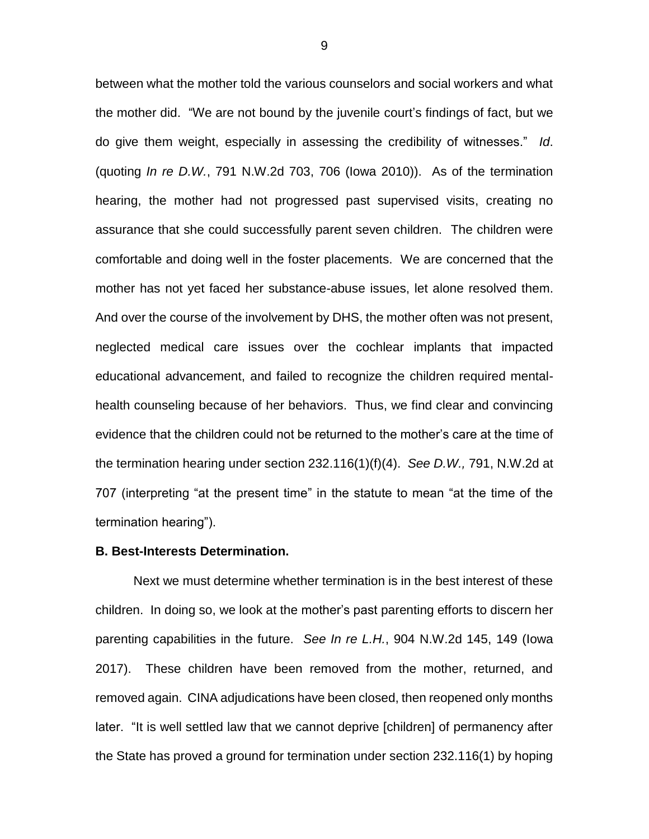between what the mother told the various counselors and social workers and what the mother did. "We are not bound by the juvenile court's findings of fact, but we do give them weight, especially in assessing the credibility of witnesses." *Id*. (quoting *In re D.W.*, 791 N.W.2d 703, 706 (Iowa 2010)). As of the termination hearing, the mother had not progressed past supervised visits, creating no assurance that she could successfully parent seven children. The children were comfortable and doing well in the foster placements. We are concerned that the mother has not yet faced her substance-abuse issues, let alone resolved them. And over the course of the involvement by DHS, the mother often was not present, neglected medical care issues over the cochlear implants that impacted educational advancement, and failed to recognize the children required mentalhealth counseling because of her behaviors. Thus, we find clear and convincing evidence that the children could not be returned to the mother's care at the time of the termination hearing under section 232.116(1)(f)(4). *See D.W.,* 791, N.W.2d at 707 (interpreting "at the present time" in the statute to mean "at the time of the termination hearing").

#### **B. Best-Interests Determination.**

Next we must determine whether termination is in the best interest of these children. In doing so, we look at the mother's past parenting efforts to discern her parenting capabilities in the future. *See In re L.H.*, 904 N.W.2d 145, 149 (Iowa 2017). These children have been removed from the mother, returned, and removed again. CINA adjudications have been closed, then reopened only months later. "It is well settled law that we cannot deprive [children] of permanency after the State has proved a ground for termination under section 232.116(1) by hoping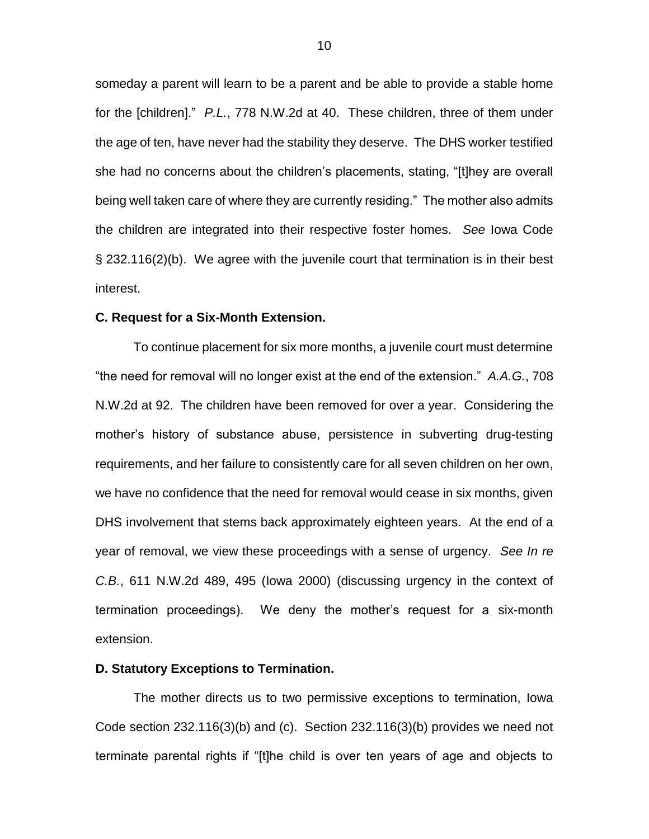someday a parent will learn to be a parent and be able to provide a stable home for the [children]." *P.L.*, 778 N.W.2d at 40. These children, three of them under the age of ten, have never had the stability they deserve. The DHS worker testified she had no concerns about the children's placements, stating, "[t]hey are overall being well taken care of where they are currently residing." The mother also admits the children are integrated into their respective foster homes. *See* Iowa Code § 232.116(2)(b). We agree with the juvenile court that termination is in their best interest.

#### **C. Request for a Six-Month Extension.**

To continue placement for six more months, a juvenile court must determine "the need for removal will no longer exist at the end of the extension." *A.A.G.*, 708 N.W.2d at 92. The children have been removed for over a year. Considering the mother's history of substance abuse, persistence in subverting drug-testing requirements, and her failure to consistently care for all seven children on her own, we have no confidence that the need for removal would cease in six months, given DHS involvement that stems back approximately eighteen years. At the end of a year of removal, we view these proceedings with a sense of urgency. *See In re C.B.*, 611 N.W.2d 489, 495 (Iowa 2000) (discussing urgency in the context of termination proceedings). We deny the mother's request for a six-month extension.

### **D. Statutory Exceptions to Termination.**

The mother directs us to two permissive exceptions to termination, Iowa Code section 232.116(3)(b) and (c). Section 232.116(3)(b) provides we need not terminate parental rights if "[t]he child is over ten years of age and objects to